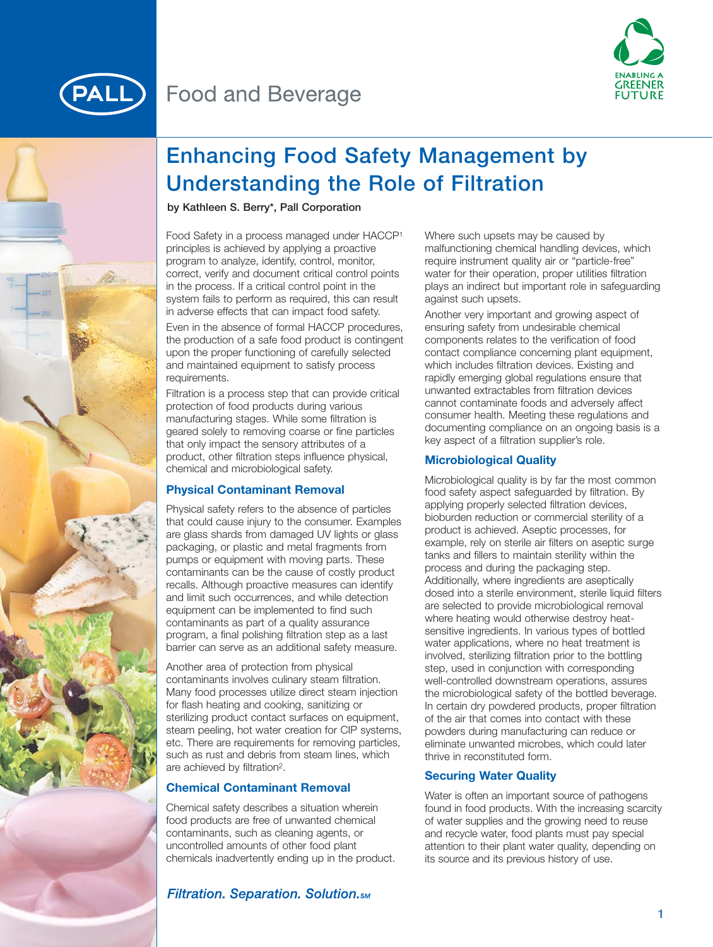



# **Enhancing Food Safety Management by Understanding the Role of Filtration**

**by Kathleen S. Berry\*, Pall Corporation** 

Food Safety in a process managed under HACCP1 principles is achieved by applying a proactive program to analyze, identify, control, monitor, correct, verify and document critical control points in the process. If a critical control point in the system fails to perform as required, this can result in adverse effects that can impact food safety.

Even in the absence of formal HACCP procedures, the production of a safe food product is contingent upon the proper functioning of carefully selected and maintained equipment to satisfy process requirements.

Filtration is a process step that can provide critical protection of food products during various manufacturing stages. While some filtration is geared solely to removing coarse or fine particles that only impact the sensory attributes of a product, other filtration steps influence physical, chemical and microbiological safety.

## **Physical Contaminant Removal**

Physical safety refers to the absence of particles that could cause injury to the consumer. Examples are glass shards from damaged UV lights or glass packaging, or plastic and metal fragments from pumps or equipment with moving parts. These contaminants can be the cause of costly product recalls. Although proactive measures can identify and limit such occurrences, and while detection equipment can be implemented to find such contaminants as part of a quality assurance program, a final polishing filtration step as a last barrier can serve as an additional safety measure.

Another area of protection from physical contaminants involves culinary steam filtration. Many food processes utilize direct steam injection for flash heating and cooking, sanitizing or sterilizing product contact surfaces on equipment, steam peeling, hot water creation for CIP systems, etc. There are requirements for removing particles, such as rust and debris from steam lines, which are achieved by filtration2.

## **Chemical Contaminant Removal**

Chemical safety describes a situation wherein food products are free of unwanted chemical contaminants, such as cleaning agents, or uncontrolled amounts of other food plant chemicals inadvertently ending up in the product. Where such upsets may be caused by malfunctioning chemical handling devices, which require instrument quality air or "particle-free" water for their operation, proper utilities filtration plays an indirect but important role in safeguarding against such upsets.

Another very important and growing aspect of ensuring safety from undesirable chemical components relates to the verification of food contact compliance concerning plant equipment, which includes filtration devices. Existing and rapidly emerging global regulations ensure that unwanted extractables from filtration devices cannot contaminate foods and adversely affect consumer health. Meeting these regulations and documenting compliance on an ongoing basis is a key aspect of a filtration supplier's role.

## **Microbiological Quality**

Microbiological quality is by far the most common food safety aspect safeguarded by filtration. By applying properly selected filtration devices, bioburden reduction or commercial sterility of a product is achieved. Aseptic processes, for example, rely on sterile air filters on aseptic surge tanks and fillers to maintain sterility within the process and during the packaging step. Additionally, where ingredients are aseptically dosed into a sterile environment, sterile liquid filters are selected to provide microbiological removal where heating would otherwise destroy heatsensitive ingredients. In various types of bottled water applications, where no heat treatment is involved, sterilizing filtration prior to the bottling step, used in conjunction with corresponding well-controlled downstream operations, assures the microbiological safety of the bottled beverage. In certain dry powdered products, proper filtration of the air that comes into contact with these powders during manufacturing can reduce or eliminate unwanted microbes, which could later thrive in reconstituted form.

## **Securing Water Quality**

Water is often an important source of pathogens found in food products. With the increasing scarcity of water supplies and the growing need to reuse and recycle water, food plants must pay special attention to their plant water quality, depending on its source and its previous history of use.

## **Filtration. Separation. Solution.**sm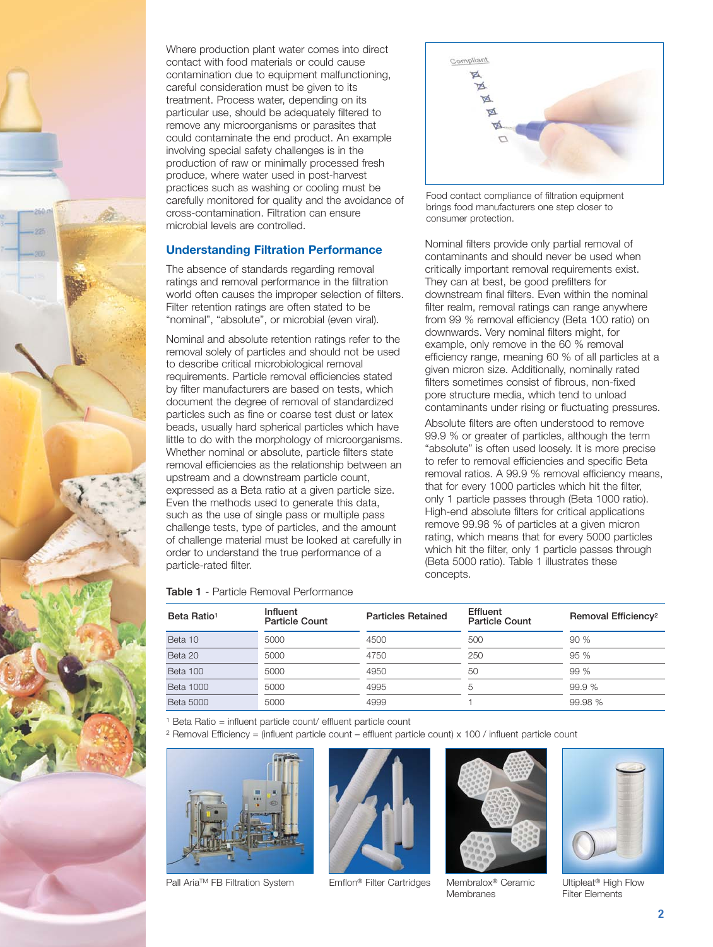

Where production plant water comes into direct contact with food materials or could cause contamination due to equipment malfunctioning, careful consideration must be given to its treatment. Process water, depending on its particular use, should be adequately filtered to remove any microorganisms or parasites that could contaminate the end product. An example involving special safety challenges is in the production of raw or minimally processed fresh produce, where water used in post-harvest practices such as washing or cooling must be carefully monitored for quality and the avoidance of cross-contamination. Filtration can ensure microbial levels are controlled.

#### **Understanding Filtration Performance**

The absence of standards regarding removal ratings and removal performance in the filtration world often causes the improper selection of filters. Filter retention ratings are often stated to be "nominal", "absolute", or microbial (even viral).

Nominal and absolute retention ratings refer to the removal solely of particles and should not be used to describe critical microbiological removal requirements. Particle removal efficiencies stated by filter manufacturers are based on tests, which document the degree of removal of standardized particles such as fine or coarse test dust or latex beads, usually hard spherical particles which have little to do with the morphology of microorganisms. Whether nominal or absolute, particle filters state removal efficiencies as the relationship between an upstream and a downstream particle count, expressed as a Beta ratio at a given particle size. Even the methods used to generate this data, such as the use of single pass or multiple pass challenge tests, type of particles, and the amount of challenge material must be looked at carefully in order to understand the true performance of a particle-rated filter.

| Compliant    |  |  |
|--------------|--|--|
|              |  |  |
| <b>ARABA</b> |  |  |
| Ο            |  |  |
|              |  |  |
|              |  |  |

Food contact compliance of filtration equipment brings food manufacturers one step closer to consumer protection.

Nominal filters provide only partial removal of contaminants and should never be used when critically important removal requirements exist. They can at best, be good prefilters for downstream final filters. Even within the nominal filter realm, removal ratings can range anywhere from 99 % removal efficiency (Beta 100 ratio) on downwards. Very nominal filters might, for example, only remove in the 60 % removal efficiency range, meaning 60 % of all particles at a given micron size. Additionally, nominally rated filters sometimes consist of fibrous, non-fixed pore structure media, which tend to unload contaminants under rising or fluctuating pressures.

Absolute filters are often understood to remove 99.9 % or greater of particles, although the term "absolute" is often used loosely. It is more precise to refer to removal efficiencies and specific Beta removal ratios. A 99.9 % removal efficiency means, that for every 1000 particles which hit the filter, only 1 particle passes through (Beta 1000 ratio). High-end absolute filters for critical applications remove 99.98 % of particles at a given micron rating, which means that for every 5000 particles which hit the filter, only 1 particle passes through (Beta 5000 ratio). Table 1 illustrates these concepts.

#### **Table 1** - Particle Removal Performance

| Beta Ratio <sup>1</sup> | Influent<br><b>Particle Count</b> | <b>Particles Retained</b> | Effluent<br><b>Particle Count</b> | Removal Efficiency <sup>2</sup> |
|-------------------------|-----------------------------------|---------------------------|-----------------------------------|---------------------------------|
| Beta 10                 | 5000                              | 4500                      | 500                               | 90 %                            |
| Beta 20                 | 5000                              | 4750                      | 250                               | 95%                             |
| Beta 100                | 5000                              | 4950                      | 50                                | 99%                             |
| <b>Beta 1000</b>        | 5000                              | 4995                      | 5                                 | 99.9 %                          |
| <b>Beta 5000</b>        | 5000                              | 4999                      |                                   | 99.98 %                         |

<sup>1</sup> Beta Ratio = influent particle count/ effluent particle count

<sup>2</sup> Removal Efficiency = (influent particle count – effluent particle count) x 100 / influent particle count







Pall Aria™ FB Filtration System Emflon® Filter Cartridges Membralox® Ceramic Ultipleat® High Flow<br>Membranes Filter Elements



Filter Elements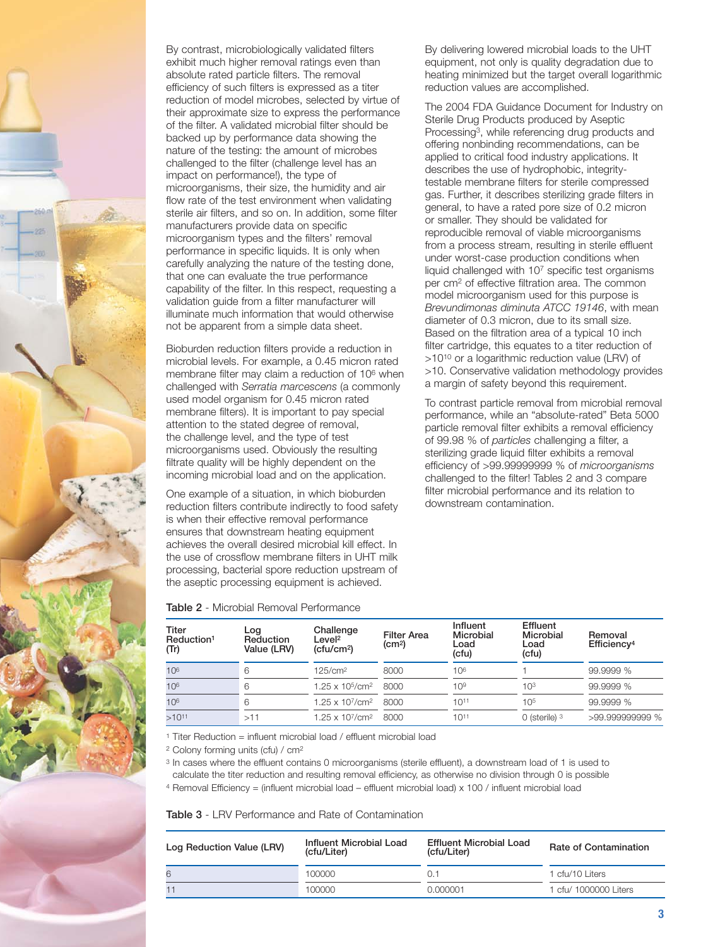

By contrast, microbiologically validated filters exhibit much higher removal ratings even than absolute rated particle filters. The removal efficiency of such filters is expressed as a titer reduction of model microbes, selected by virtue of their approximate size to express the performance of the filter. A validated microbial filter should be backed up by performance data showing the nature of the testing: the amount of microbes challenged to the filter (challenge level has an impact on performance!), the type of microorganisms, their size, the humidity and air flow rate of the test environment when validating sterile air filters, and so on. In addition, some filter manufacturers provide data on specific microorganism types and the filters' removal performance in specific liquids. It is only when carefully analyzing the nature of the testing done, that one can evaluate the true performance capability of the filter. In this respect, requesting a validation guide from a filter manufacturer will illuminate much information that would otherwise not be apparent from a simple data sheet.

Bioburden reduction filters provide a reduction in microbial levels. For example, a 0.45 micron rated membrane filter may claim a reduction of 106 when challenged with *Serratia marcescens* (a commonly used model organism for 0.45 micron rated membrane filters). It is important to pay special attention to the stated degree of removal, the challenge level, and the type of test microorganisms used. Obviously the resulting filtrate quality will be highly dependent on the incoming microbial load and on the application.

One example of a situation, in which bioburden reduction filters contribute indirectly to food safety is when their effective removal performance ensures that downstream heating equipment achieves the overall desired microbial kill effect. In the use of crossflow membrane filters in UHT milk processing, bacterial spore reduction upstream of the aseptic processing equipment is achieved.

By delivering lowered microbial loads to the UHT equipment, not only is quality degradation due to heating minimized but the target overall logarithmic reduction values are accomplished.

The 2004 FDA Guidance Document for Industry on Sterile Drug Products produced by Aseptic Processing3, while referencing drug products and offering nonbinding recommendations, can be applied to critical food industry applications. It describes the use of hydrophobic, integritytestable membrane filters for sterile compressed gas. Further, it describes sterilizing grade filters in general, to have a rated pore size of 0.2 micron or smaller. They should be validated for reproducible removal of viable microorganisms from a process stream, resulting in sterile effluent under worst-case production conditions when liquid challenged with 107 specific test organisms per cm2 of effective filtration area. The common model microorganism used for this purpose is *Brevundimonas diminuta ATCC 19146*, with mean diameter of 0.3 micron, due to its small size. Based on the filtration area of a typical 10 inch filter cartridge, this equates to a titer reduction of >1010 or a logarithmic reduction value (LRV) of >10. Conservative validation methodology provides a margin of safety beyond this requirement.

To contrast particle removal from microbial removal performance, while an "absolute-rated" Beta 5000 particle removal filter exhibits a removal efficiency of 99.98 % of *particles* challenging a filter, a sterilizing grade liquid filter exhibits a removal efficiency of >99.99999999 % of *microorganisms* challenged to the filter! Tables 2 and 3 compare filter microbial performance and its relation to downstream contamination.

| Titer<br>Reduction <sup>1</sup><br>(Tr) | ∟og<br>Reduction<br>Value (LRV) | Challenge<br>∟evel <sup>2</sup><br>(ctu/cm <sup>2</sup> ) | <b>Filter Area</b><br>(cm <sup>2</sup> ) | Influent<br>Microbial<br>Load<br>(cfu) | Effluent<br>Microbial<br>Load<br>(cfu) | Removal<br>Efficiency <sup>4</sup> |
|-----------------------------------------|---------------------------------|-----------------------------------------------------------|------------------------------------------|----------------------------------------|----------------------------------------|------------------------------------|
| 10 <sup>6</sup>                         | 6                               | 125/cm <sup>2</sup>                                       | 8000                                     | 10 <sup>6</sup>                        |                                        | 99.9999 %                          |
| 10 <sup>6</sup>                         | 6                               | $1.25 \times 10^{5}$ /cm <sup>2</sup>                     | 8000                                     | 10 <sup>9</sup>                        | 10 <sup>3</sup>                        | 99.9999 %                          |
| 10 <sup>6</sup>                         | 6                               | $1.25 \times 10^{7}/\text{cm}^2$                          | 8000                                     | $10^{11}$                              | 10 <sup>5</sup>                        | 99.9999 %                          |
| $>10^{11}$                              | >11                             | 1.25 x 107/cm <sup>2</sup>                                | 8000                                     | $10^{11}$                              | $0$ (sterile) $3$                      | >99.999999999 %                    |

**Table 2** - Microbial Removal Performance

<sup>1</sup> Titer Reduction = influent microbial load / effluent microbial load

<sup>2</sup> Colony forming units (cfu) / cm2

<sup>3</sup> In cases where the effluent contains 0 microorganisms (sterile effluent), a downstream load of 1 is used to calculate the titer reduction and resulting removal efficiency, as otherwise no division through 0 is possible

<sup>4</sup> Removal Efficiency = (influent microbial load – effluent microbial load) x 100 / influent microbial load

**Table 3** - LRV Performance and Rate of Contamination

| Log Reduction Value (LRV) | Influent Microbial Load<br>(cfu/Liter) | <b>Effluent Microbial Load</b><br>(cfu/Liter) | <b>Rate of Contamination</b> |
|---------------------------|----------------------------------------|-----------------------------------------------|------------------------------|
| 6                         | 100000                                 | 0.1                                           | l cfu/10 Liters              |
|                           | 100000                                 | 0.000001                                      | l cfu/ 1000000 Liters        |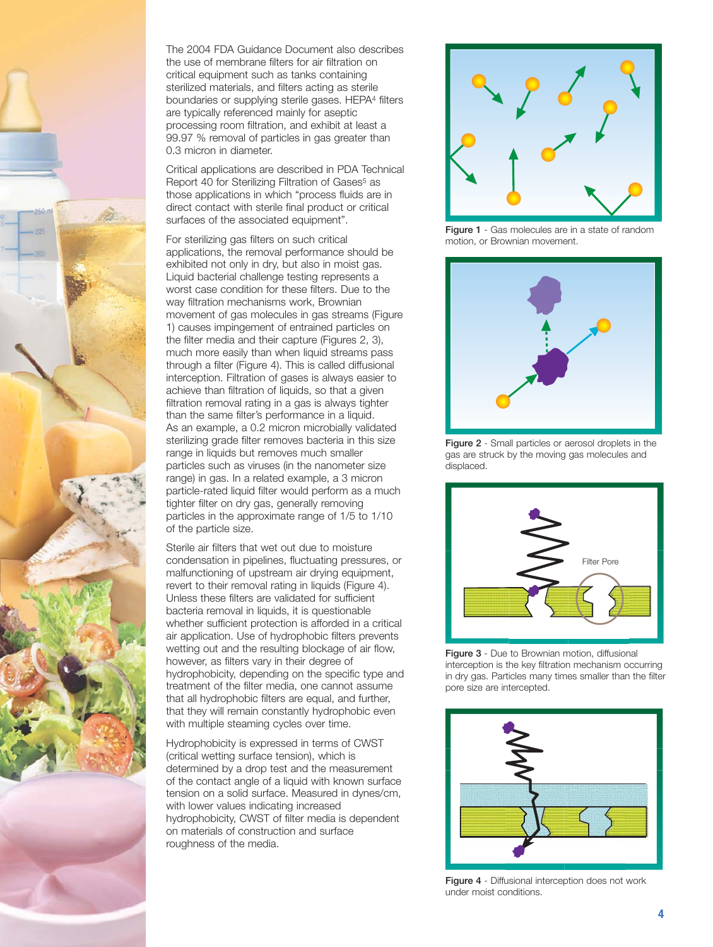

The 2004 FDA Guidance Document also describes the use of membrane filters for air filtration on critical equipment such as tanks containing sterilized materials, and filters acting as sterile boundaries or supplying sterile gases. HEPA4 filters are typically referenced mainly for aseptic processing room filtration, and exhibit at least a 99.97 % removal of particles in gas greater than 0.3 micron in diameter.

Critical applications are described in PDA Technical Report 40 for Sterilizing Filtration of Gases<sup>5</sup> as those applications in which "process fluids are in direct contact with sterile final product or critical surfaces of the associated equipment".

For sterilizing gas filters on such critical applications, the removal performance should be exhibited not only in dry, but also in moist gas. Liquid bacterial challenge testing represents a worst case condition for these filters. Due to the way filtration mechanisms work, Brownian movement of gas molecules in gas streams (Figure 1) causes impingement of entrained particles on the filter media and their capture (Figures 2, 3), much more easily than when liquid streams pass through a filter (Figure 4). This is called diffusional interception. Filtration of gases is always easier to achieve than filtration of liquids, so that a given filtration removal rating in a gas is always tighter than the same filter's performance in a liquid. As an example, a 0.2 micron microbially validated sterilizing grade filter removes bacteria in this size range in liquids but removes much smaller particles such as viruses (in the nanometer size range) in gas. In a related example, a 3 micron particle-rated liquid filter would perform as a much tighter filter on dry gas, generally removing particles in the approximate range of 1/5 to 1/10 of the particle size.

Sterile air filters that wet out due to moisture condensation in pipelines, fluctuating pressures, or malfunctioning of upstream air drying equipment, revert to their removal rating in liquids (Figure 4). Unless these filters are validated for sufficient bacteria removal in liquids, it is questionable whether sufficient protection is afforded in a critical air application. Use of hydrophobic filters prevents wetting out and the resulting blockage of air flow, however, as filters vary in their degree of hydrophobicity, depending on the specific type and treatment of the filter media, one cannot assume that all hydrophobic filters are equal, and further, that they will remain constantly hydrophobic even with multiple steaming cycles over time.

Hydrophobicity is expressed in terms of CWST (critical wetting surface tension), which is determined by a drop test and the measurement of the contact angle of a liquid with known surface tension on a solid surface. Measured in dynes/cm, with lower values indicating increased hydrophobicity, CWST of filter media is dependent on materials of construction and surface roughness of the media.



**Figure 1** - Gas molecules are in a state of random motion, or Brownian movement.



**Figure 2** - Small particles or aerosol droplets in the gas are struck by the moving gas molecules and displaced.



**Figure 3** - Due to Brownian motion, diffusional interception is the key filtration mechanism occurring in dry gas. Particles many times smaller than the filter pore size are intercepted.



**Figure 4** - Diffusional interception does not work under moist conditions.